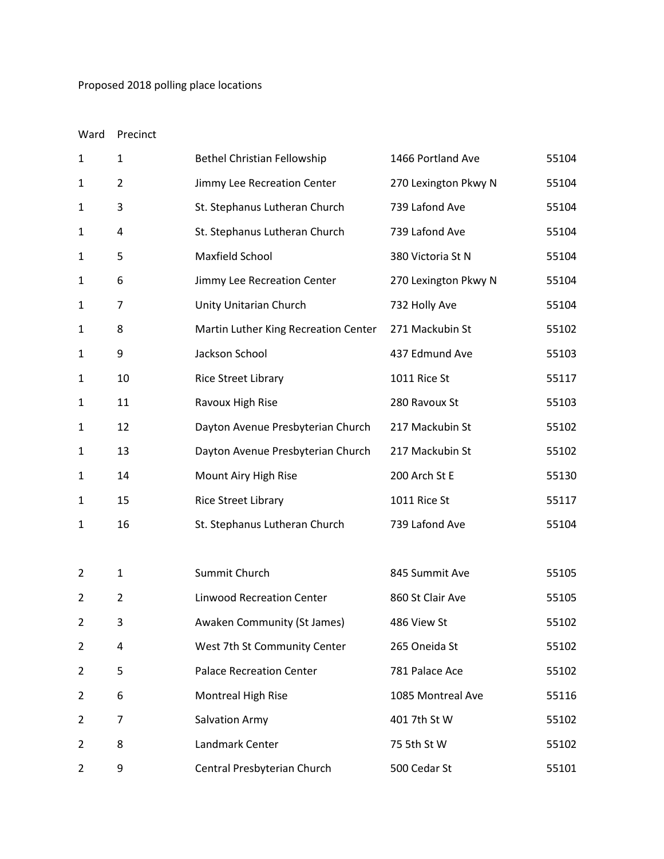## Proposed 2018 polling place locations

## Ward Precinct

| $\mathbf 1$    | 1              | <b>Bethel Christian Fellowship</b>   | 1466 Portland Ave    | 55104 |
|----------------|----------------|--------------------------------------|----------------------|-------|
| 1              | $\overline{2}$ | Jimmy Lee Recreation Center          | 270 Lexington Pkwy N | 55104 |
| 1              | 3              | St. Stephanus Lutheran Church        | 739 Lafond Ave       | 55104 |
| 1              | 4              | St. Stephanus Lutheran Church        | 739 Lafond Ave       | 55104 |
| 1              | 5              | Maxfield School                      | 380 Victoria St N    | 55104 |
| 1              | 6              | Jimmy Lee Recreation Center          | 270 Lexington Pkwy N | 55104 |
| 1              | 7              | Unity Unitarian Church               | 732 Holly Ave        | 55104 |
| 1              | 8              | Martin Luther King Recreation Center | 271 Mackubin St      | 55102 |
| 1              | 9              | Jackson School                       | 437 Edmund Ave       | 55103 |
| 1              | 10             | <b>Rice Street Library</b>           | 1011 Rice St         | 55117 |
| 1              | 11             | Ravoux High Rise                     | 280 Ravoux St        | 55103 |
| 1              | 12             | Dayton Avenue Presbyterian Church    | 217 Mackubin St      | 55102 |
| 1              | 13             | Dayton Avenue Presbyterian Church    | 217 Mackubin St      | 55102 |
| 1              | 14             | Mount Airy High Rise                 | 200 Arch St E        | 55130 |
| 1              | 15             | <b>Rice Street Library</b>           | 1011 Rice St         | 55117 |
| 1              | 16             | St. Stephanus Lutheran Church        | 739 Lafond Ave       | 55104 |
|                |                |                                      |                      |       |
| 2              | $\mathbf{1}$   | Summit Church                        | 845 Summit Ave       | 55105 |
| $\overline{2}$ | $\overline{2}$ | <b>Linwood Recreation Center</b>     | 860 St Clair Ave     | 55105 |
| 2              | 3              | Awaken Community (St James)          | 486 View St          | 55102 |
| $\overline{2}$ | 4              | West 7th St Community Center         | 265 Oneida St        | 55102 |
| 2              | 5              | <b>Palace Recreation Center</b>      | 781 Palace Ace       | 55102 |
| 2              | 6              | Montreal High Rise                   | 1085 Montreal Ave    | 55116 |
| 2              | 7              | <b>Salvation Army</b>                | 401 7th St W         | 55102 |
| 2              | 8              | Landmark Center                      | 75 5th St W          | 55102 |
| 2              | 9              | Central Presbyterian Church          | 500 Cedar St         | 55101 |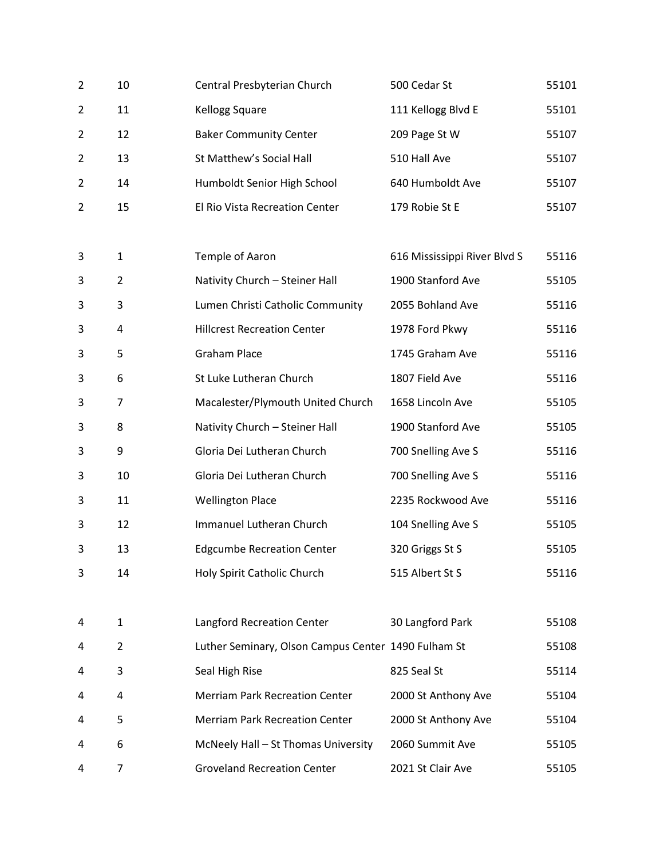| $\overline{2}$ | 10             | Central Presbyterian Church                         | 500 Cedar St                 | 55101 |
|----------------|----------------|-----------------------------------------------------|------------------------------|-------|
| 2              | 11             | Kellogg Square                                      | 111 Kellogg Blvd E           | 55101 |
| $\overline{2}$ | 12             | <b>Baker Community Center</b>                       | 209 Page St W                | 55107 |
| $\overline{2}$ | 13             | St Matthew's Social Hall                            | 510 Hall Ave                 | 55107 |
| 2              | 14             | Humboldt Senior High School                         | 640 Humboldt Ave             | 55107 |
| $\overline{2}$ | 15             | El Rio Vista Recreation Center                      | 179 Robie St E               | 55107 |
|                |                |                                                     |                              |       |
| 3              | $\mathbf{1}$   | Temple of Aaron                                     | 616 Mississippi River Blvd S | 55116 |
| 3              | $\overline{2}$ | Nativity Church - Steiner Hall                      | 1900 Stanford Ave            | 55105 |
| 3              | 3              | Lumen Christi Catholic Community                    | 2055 Bohland Ave             | 55116 |
| 3              | 4              | <b>Hillcrest Recreation Center</b>                  | 1978 Ford Pkwy               | 55116 |
| 3              | 5              | <b>Graham Place</b>                                 | 1745 Graham Ave              | 55116 |
| 3              | 6              | St Luke Lutheran Church                             | 1807 Field Ave               | 55116 |
| 3              | 7              | Macalester/Plymouth United Church                   | 1658 Lincoln Ave             | 55105 |
| 3              | 8              | Nativity Church - Steiner Hall                      | 1900 Stanford Ave            | 55105 |
| 3              | 9              | Gloria Dei Lutheran Church                          | 700 Snelling Ave S           | 55116 |
| 3              | 10             | Gloria Dei Lutheran Church                          | 700 Snelling Ave S           | 55116 |
| 3              | 11             | <b>Wellington Place</b>                             | 2235 Rockwood Ave            | 55116 |
| 3              | 12             | Immanuel Lutheran Church                            | 104 Snelling Ave S           | 55105 |
| 3              | 13             | <b>Edgcumbe Recreation Center</b>                   | 320 Griggs St S              | 55105 |
| 3              | 14             | Holy Spirit Catholic Church                         | 515 Albert St S              | 55116 |
|                |                |                                                     |                              |       |
| 4              | $\mathbf{1}$   | Langford Recreation Center                          | 30 Langford Park             | 55108 |
| 4              | $\overline{2}$ | Luther Seminary, Olson Campus Center 1490 Fulham St |                              | 55108 |
| 4              | 3              | Seal High Rise                                      | 825 Seal St                  | 55114 |
| 4              | 4              | <b>Merriam Park Recreation Center</b>               | 2000 St Anthony Ave          | 55104 |
| 4              | 5              | <b>Merriam Park Recreation Center</b>               | 2000 St Anthony Ave          | 55104 |
| 4              | 6              | McNeely Hall - St Thomas University                 | 2060 Summit Ave              | 55105 |
| 4              | $\overline{7}$ | <b>Groveland Recreation Center</b>                  | 2021 St Clair Ave            | 55105 |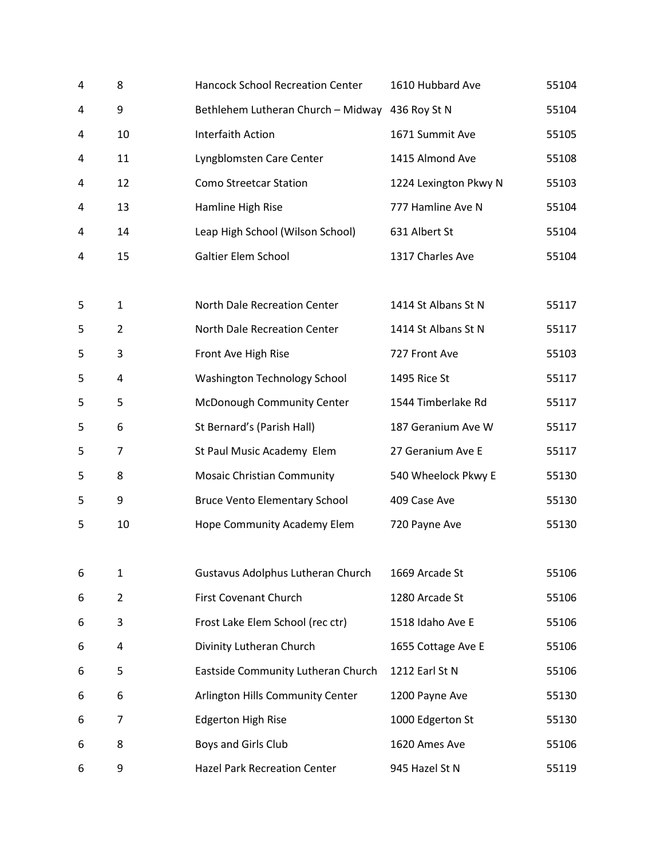| 4 | 8              | <b>Hancock School Recreation Center</b>         | 1610 Hubbard Ave      | 55104 |
|---|----------------|-------------------------------------------------|-----------------------|-------|
| 4 | 9              | Bethlehem Lutheran Church - Midway 436 Roy St N |                       | 55104 |
| 4 | 10             | <b>Interfaith Action</b>                        | 1671 Summit Ave       | 55105 |
| 4 | 11             | Lyngblomsten Care Center                        | 1415 Almond Ave       | 55108 |
| 4 | 12             | <b>Como Streetcar Station</b>                   | 1224 Lexington Pkwy N | 55103 |
| 4 | 13             | Hamline High Rise                               | 777 Hamline Ave N     | 55104 |
| 4 | 14             | Leap High School (Wilson School)                | 631 Albert St         | 55104 |
| 4 | 15             | Galtier Elem School                             | 1317 Charles Ave      | 55104 |
| 5 | 1              | North Dale Recreation Center                    | 1414 St Albans St N   | 55117 |
| 5 | $\overline{2}$ | North Dale Recreation Center                    | 1414 St Albans St N   | 55117 |
| 5 | 3              | Front Ave High Rise                             | 727 Front Ave         | 55103 |
| 5 | 4              | Washington Technology School                    | 1495 Rice St          | 55117 |
| 5 | 5              | McDonough Community Center                      | 1544 Timberlake Rd    | 55117 |
| 5 | 6              | St Bernard's (Parish Hall)                      | 187 Geranium Ave W    | 55117 |
| 5 | 7              | St Paul Music Academy Elem                      | 27 Geranium Ave E     | 55117 |
| 5 | 8              | <b>Mosaic Christian Community</b>               | 540 Wheelock Pkwy E   | 55130 |
| 5 | 9              | <b>Bruce Vento Elementary School</b>            | 409 Case Ave          | 55130 |
| 5 | 10             | Hope Community Academy Elem                     | 720 Payne Ave         | 55130 |
| 6 | 1              | Gustavus Adolphus Lutheran Church               | 1669 Arcade St        | 55106 |
| 6 | $\overline{2}$ | First Covenant Church                           | 1280 Arcade St        | 55106 |
| 6 | 3              | Frost Lake Elem School (rec ctr)                | 1518 Idaho Ave E      | 55106 |
| 6 | 4              | Divinity Lutheran Church                        | 1655 Cottage Ave E    | 55106 |
| 6 | 5              | Eastside Community Lutheran Church              | 1212 Earl St N        | 55106 |
| 6 | 6              | Arlington Hills Community Center                | 1200 Payne Ave        | 55130 |
| 6 | 7              | <b>Edgerton High Rise</b>                       | 1000 Edgerton St      | 55130 |
| 6 | 8              | Boys and Girls Club                             | 1620 Ames Ave         | 55106 |
| 6 | 9              | <b>Hazel Park Recreation Center</b>             | 945 Hazel St N        | 55119 |